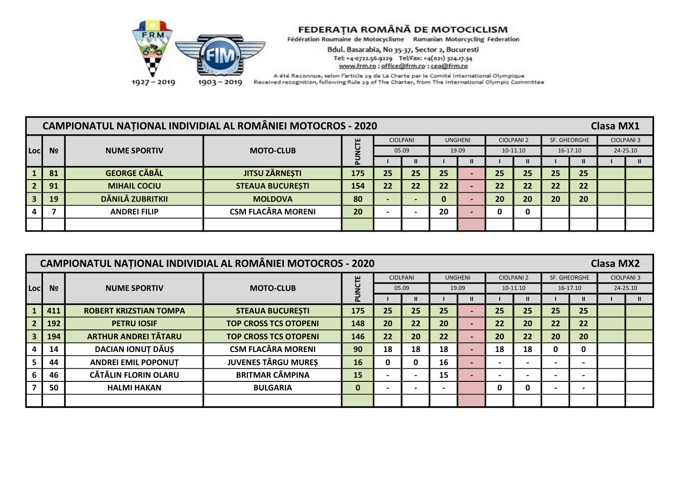

Bdul. Basarabia, No 35-37, Sector 2, Bucuresti Tel: +4-0722.56.9229 Tel/Fax: +4(021) 324.17.34 www.frm.ro ; office@frm.ro ; ceo@frm.ro

|                         |                | CAMPIONATUL NAȚIONAL INDIVIDIAL AL ROMÂNIEI MOTOCROS - 2020 |                                                |     |                 |                          |    |                |    |                   |              |          | <b>Clasa MX1</b>  |  |
|-------------------------|----------------|-------------------------------------------------------------|------------------------------------------------|-----|-----------------|--------------------------|----|----------------|----|-------------------|--------------|----------|-------------------|--|
|                         |                |                                                             |                                                | ш   | <b>CIOLPANI</b> |                          |    | <b>UNGHENI</b> |    | <b>CIOLPANI 2</b> | SF. GHEORGHE |          | <b>CIOLPANI 3</b> |  |
| Locl                    | N <sub>2</sub> | <b>NUME SPORTIV</b>                                         | <b>MOTO-CLUB</b><br>05.09<br>19.09<br>10-11.10 |     |                 |                          |    |                |    |                   |              | 16-17.10 | 24-25.10          |  |
| ш<br>o                  |                |                                                             |                                                |     |                 |                          |    |                |    |                   |              | ш        |                   |  |
|                         | 81             | <b>GEORGE CĂBĂL</b>                                         | <b>JITSU ZÄRNESTI</b>                          | 175 | 25              | 25                       | 25 |                | 25 | 25                | 25           | 25       |                   |  |
| $\vert$ 2               | 91             | <b>MIHAIL COCIU</b>                                         | <b>STEAUA BUCURESTI</b>                        | 154 | 22              | 22                       | 22 |                | 22 | 22                | 22           | 22       |                   |  |
| $\overline{\mathbf{3}}$ | 19             | DĂNILĂ ZUBRITKII                                            | <b>MOLDOVA</b>                                 | 80  |                 | $\overline{\phantom{0}}$ | 0  |                | 20 | 20                | 20           | 20       |                   |  |
|                         |                | <b>ANDREI FILIP</b>                                         | <b>CSM FLACĂRA MORENI</b>                      | 20  |                 |                          | 20 |                | 0  |                   |              |          |                   |  |
|                         |                |                                                             |                                                |     |                 |                          |    |                |    |                   |              |          |                   |  |

|      |                |                               | CAMPIONATUL NAȚIONAL INDIVIDIAL AL ROMÂNIEI MOTOCROS - 2020 |                |    |                          |                          |       |                          |                   |              |                          | <b>Clasa MX2</b>  |              |
|------|----------------|-------------------------------|-------------------------------------------------------------|----------------|----|--------------------------|--------------------------|-------|--------------------------|-------------------|--------------|--------------------------|-------------------|--------------|
|      |                |                               |                                                             |                |    | <b>CIOLPANI</b>          | <b>UNGHENI</b>           |       |                          | <b>CIOLPANI 2</b> | SF. GHEORGHE |                          | <b>CIOLPANI 3</b> |              |
| Locl | N <sub>2</sub> | <b>NUME SPORTIV</b>           | <b>MOTO-CLUB</b>                                            | <b>UU</b><br>2 |    | 05.09                    |                          | 19.09 |                          | 10-11.10          |              | 16-17.10                 | 24-25.10          |              |
|      |                |                               |                                                             |                |    |                          |                          | Ш     |                          |                   |              |                          |                   | $\mathbf{u}$ |
|      | 411            | <b>ROBERT KRIZSTIAN TOMPA</b> | <b>STEAUA BUCURESTI</b>                                     | 175            | 25 | 25                       | 25                       |       | 25                       | 25                | 25           | 25                       |                   |              |
|      | 192            | <b>PETRU IOSIF</b>            | <b>TOP CROSS TCS OTOPENI</b>                                | 148            | 20 | 22                       | 20                       |       | 22                       | 20                | 22           | 22                       |                   |              |
|      | 194            | <b>ARTHUR ANDREI TĂTARU</b>   | <b>TOP CROSS TCS OTOPENI</b>                                | 146            | 22 | 20                       | 22                       |       | 20                       | 22                | 20           | 20                       |                   |              |
|      | 14             | <b>DACIAN IONUT DĂUS</b>      | <b>CSM FLACĂRA MORENI</b>                                   | 90             | 18 | 18                       | 18                       |       | 18                       | 18                | 0            | 0                        |                   |              |
|      | 44             | <b>ANDREI EMIL POPONUT</b>    | <b>JUVENES TÂRGU MUREȘ</b>                                  | 16             | 0  | 0                        | 16                       |       |                          |                   |              | $\overline{\phantom{0}}$ |                   |              |
|      | 46             | <b>CĂTĂLIN FLORIN OLARU</b>   | <b>BRITMAR CÂMPINA</b>                                      | 15             |    | $\overline{\phantom{0}}$ | 15                       |       | $\overline{\phantom{0}}$ |                   |              | $\blacksquare$           |                   |              |
|      | 50             | <b>HALMI HAKAN</b>            | <b>BULGARIA</b>                                             | 0              |    | $\overline{\phantom{0}}$ | $\overline{\phantom{0}}$ |       | 0                        | 0                 |              | $\blacksquare$           |                   |              |
|      |                |                               |                                                             |                |    |                          |                          |       |                          |                   |              |                          |                   |              |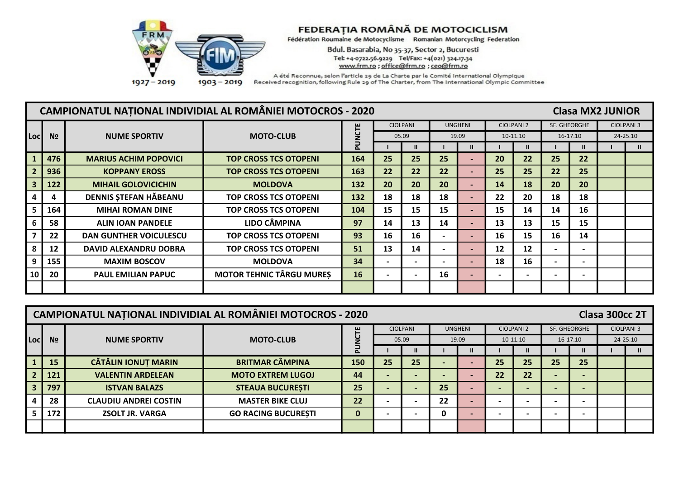

Bdul. Basarabia, No 35-37, Sector 2, Bucuresti Tel: +4-0722.56.9229 Tel/Fax: +4(021) 324.17.34 www.frm.ro ; office@frm.ro ; ceo@frm.ro

|      |                | <b>CAMPIONATUL NATIONAL INDIVIDIAL AL ROMÂNIEI MOTOCROS - 2020</b> |                                 |       |                |                              |    |                          |    |                   |                          | <b>Clasa MX2 JUNIOR</b>  |          |                   |
|------|----------------|--------------------------------------------------------------------|---------------------------------|-------|----------------|------------------------------|----|--------------------------|----|-------------------|--------------------------|--------------------------|----------|-------------------|
|      |                |                                                                    |                                 |       |                | <b>CIOLPANI</b>              |    | <b>UNGHENI</b>           |    | <b>CIOLPANI 2</b> |                          | SF. GHEORGHE             |          | <b>CIOLPANI 3</b> |
| Locl | N <sub>2</sub> | <b>NUME SPORTIV</b>                                                | <b>MOTO-CLUB</b>                | UNCTE |                | 05.09                        |    | 19.09                    |    | 10-11.10          |                          | 16-17.10                 | 24-25.10 |                   |
|      |                |                                                                    |                                 |       |                |                              |    |                          |    | $\mathbf{I}$      |                          |                          |          |                   |
|      | 476            | <b>MARIUS ACHIM POPOVICI</b>                                       | <b>TOP CROSS TCS OTOPENI</b>    | 164   | 25             | 25                           | 25 | $\overline{\phantom{0}}$ | 20 | 22                | 25                       | 22                       |          |                   |
|      | 936            | <b>KOPPANY EROSS</b>                                               | <b>TOP CROSS TCS OTOPENI</b>    | 163   | 22             | 22                           | 22 | $\overline{\phantom{0}}$ | 25 | 25                | 22                       | 25                       |          |                   |
|      | 122            | <b>MIHAIL GOLOVICICHIN</b>                                         | <b>MOLDOVA</b>                  | 132   | 20             | 20                           | 20 | $\blacksquare$           | 14 | 18                | 20                       | 20                       |          |                   |
|      | 4              | DENNIS ȘTEFAN HĂBEANU                                              | <b>TOP CROSS TCS OTOPENI</b>    | 132   | 18             | 18                           | 18 | $\overline{\phantom{0}}$ | 22 | 20                | 18                       | 18                       |          |                   |
|      | 164            | <b>MIHAI ROMAN DINE</b>                                            | <b>TOP CROSS TCS OTOPENI</b>    | 104   | 15             | 15                           | 15 | $\blacksquare$           | 15 | 14                | 14                       | 16                       |          |                   |
|      | 58             | <b>ALIN JOAN PANDELE</b>                                           | <b>LIDO CÂMPINA</b>             | 97    | 14             | 13                           | 14 | $\overline{\phantom{0}}$ | 13 | 13                | 15                       | 15                       |          |                   |
|      | 22             | <b>DAN GUNTHER VOICULESCU</b>                                      | <b>TOP CROSS TCS OTOPENI</b>    | 93    | 16             | 16                           |    | $\overline{\phantom{0}}$ | 16 | 15                | 16                       | 14                       |          |                   |
|      | 12             | <b>DAVID ALEXANDRU DOBRA</b>                                       | <b>TOP CROSS TCS OTOPENI</b>    | 51    | 13             | 14                           |    | $\overline{\phantom{0}}$ | 12 | 12                | $\overline{\phantom{0}}$ | $\overline{\phantom{0}}$ |          |                   |
|      | 155            | <b>MAXIM BOSCOV</b>                                                | <b>MOLDOVA</b>                  | 34    | $\blacksquare$ | $\qquad \qquad \blacksquare$ |    | $\blacksquare$           | 18 | 16                | $\overline{\phantom{0}}$ | $\blacksquare$           |          |                   |
| 10   | 20             | <b>PAUL EMILIAN PAPUC</b>                                          | <b>MOTOR TEHNIC TÂRGU MURES</b> | 16    |                | $\overline{\phantom{0}}$     | 16 | $\overline{\phantom{0}}$ |    |                   | $\blacksquare$           | $\overline{\phantom{0}}$ |          |                   |
|      |                |                                                                    |                                 |       |                |                              |    |                          |    |                   |                          |                          |          |                   |

|     |                |                              | <b>CAMPIONATUL NATIONAL INDIVIDIAL AL ROMÂNIEI MOTOCROS - 2020</b> |                         |    |                 |    |                |                          |                   |                          |                              | Clasa 300cc 2T |                   |
|-----|----------------|------------------------------|--------------------------------------------------------------------|-------------------------|----|-----------------|----|----------------|--------------------------|-------------------|--------------------------|------------------------------|----------------|-------------------|
|     |                |                              |                                                                    | ш                       |    | <b>CIOLPANI</b> |    | <b>UNGHENI</b> |                          | <b>CIOLPANI 2</b> |                          | SF. GHEORGHE                 |                | <b>CIOLPANI 3</b> |
| Loc | N <sub>2</sub> | <b>NUME SPORTIV</b>          | <b>MOTO-CLUB</b>                                                   | u                       |    | 05.09           |    | 19.09          |                          | $10-11.10$        |                          | $16-17.10$                   |                | 24-25.10          |
|     |                |                              |                                                                    | $\overline{\mathbf{a}}$ |    |                 |    |                |                          | $\mathbf{u}$      |                          | ш                            |                | Ш.                |
|     | 15             | <b>CĂTĂLIN IONUȚ MARIN</b>   | <b>BRITMAR CÂMPINA</b>                                             | 150                     | 25 | 25              |    |                | 25                       | 25                | 25                       | 25                           |                |                   |
|     | 121            | <b>VALENTIN ARDELEAN</b>     | <b>MOTO EXTREM LUGOJ</b>                                           | 44                      |    | $\blacksquare$  |    |                | 22                       | 22                | $\overline{\phantom{0}}$ | $\overline{\phantom{0}}$     |                |                   |
|     | 797            | <b>ISTVAN BALAZS</b>         | <b>STEAUA BUCURESTI</b>                                            | 25                      |    | $\blacksquare$  | 25 |                | $\overline{\phantom{0}}$ |                   | $\overline{\phantom{0}}$ | $\blacksquare$               |                |                   |
|     | 28             | <b>CLAUDIU ANDREI COSTIN</b> | <b>MASTER BIKE CLUJ</b>                                            | 22                      |    | $\blacksquare$  | 22 |                | $\overline{\phantom{0}}$ |                   |                          | $\overline{\phantom{0}}$     |                |                   |
|     | 172            | <b>ZSOLT JR. VARGA</b>       | <b>GO RACING BUCURESTI</b>                                         | $\bf{0}$                |    | $\blacksquare$  | 0  |                |                          |                   |                          | $\qquad \qquad \blacksquare$ |                |                   |
|     |                |                              |                                                                    |                         |    |                 |    |                |                          |                   |                          |                              |                |                   |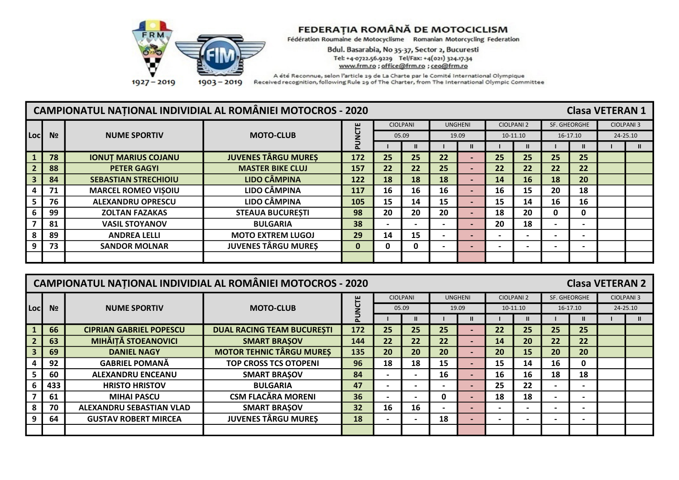

Bdul. Basarabia, No 35-37, Sector 2, Bucuresti Tel: +4-0722.56.9229 Tel/Fax: +4(021) 324.17.34 www.frm.ro ; office@frm.ro ; ceo@frm.ro

|      |                | CAMPIONATUL NAȚIONAL INDIVIDIAL AL ROMÂNIEI MOTOCROS - 2020 |                            |             |    |                          |    |                          |                          |                   |                          | <b>Clasa VETERAN 1</b>   |                   |
|------|----------------|-------------------------------------------------------------|----------------------------|-------------|----|--------------------------|----|--------------------------|--------------------------|-------------------|--------------------------|--------------------------|-------------------|
|      |                |                                                             |                            |             |    | <b>CIOLPANI</b>          |    | <b>UNGHENI</b>           |                          | <b>CIOLPANI 2</b> |                          | SF. GHEORGHE             | <b>CIOLPANI 3</b> |
| Locl | N <sub>2</sub> | <b>NUME SPORTIV</b>                                         | <b>MOTO-CLUB</b>           | <b>NCTE</b> |    | 05.09                    |    | 19.09                    |                          | 10-11.10          |                          | 16-17.10                 | 24-25.10          |
|      |                |                                                             |                            |             |    | Ш                        |    | $\mathbf{I}$             |                          |                   |                          | $\mathbf{u}$             | $\mathbf{u}$      |
|      | 78             | <b>IONUT MARIUS COJANU</b>                                  | <b>JUVENES TÂRGU MURES</b> | 172         | 25 | 25                       | 22 |                          | 25                       | 25                | 25                       | 25                       |                   |
|      | 88             | <b>PETER GAGYI</b>                                          | <b>MASTER BIKE CLUJ</b>    | 157         | 22 | 22                       | 25 |                          | 22                       | 22                | 22                       | 22                       |                   |
|      | 84             | <b>SEBASTIAN STRECHIOIU</b>                                 | LIDO CÂMPINA               | 122         | 18 | 18                       | 18 | $\overline{\phantom{0}}$ | 14                       | <b>16</b>         | 18                       | 20                       |                   |
|      | 71             | <b>MARCEL ROMEO VISOIU</b>                                  | <b>LIDO CÂMPINA</b>        | 117         | 16 | 16                       | 16 | $\overline{\phantom{0}}$ | 16                       | 15                | 20                       | 18                       |                   |
|      | 76             | <b>ALEXANDRU OPRESCU</b>                                    | LIDO CÂMPINA               | 105         | 15 | 14                       | 15 | $\overline{\phantom{0}}$ | 15                       | 14                | 16                       | 16                       |                   |
|      | 99             | <b>ZOLTAN FAZAKAS</b>                                       | <b>STEAUA BUCURESTI</b>    | 98          | 20 | 20                       | 20 |                          | 18                       | 20                | 0                        | 0                        |                   |
|      | 81             | <b>VASIL STOYANOV</b>                                       | <b>BULGARIA</b>            | 38          |    | $\overline{\phantom{0}}$ |    | $\overline{\phantom{0}}$ | 20                       | 18                | $\overline{\phantom{0}}$ | $\overline{\phantom{0}}$ |                   |
|      | 89             | <b>ANDREA LELLI</b>                                         | <b>MOTO EXTREM LUGOJ</b>   | 29          | 14 | 15                       |    | $\overline{\phantom{0}}$ | $\overline{\phantom{0}}$ |                   |                          | $\overline{\phantom{0}}$ |                   |
|      | 73             | <b>SANDOR MOLNAR</b>                                        | <b>JUVENES TÂRGU MURES</b> | 0           | 0  | 0                        |    | $\overline{\phantom{0}}$ | $\overline{\phantom{0}}$ |                   | $\overline{\phantom{0}}$ | $\overline{\phantom{0}}$ |                   |
|      |                |                                                             |                            |             |    |                          |    |                          |                          |                   |                          |                          |                   |

|      |                |                                | <b>CAMPIONATUL NAȚIONAL INDIVIDIAL AL ROMÂNIEI MOTOCROS - 2020</b> |     |                   |                          |                |                          |                          |                   |              | <b>Clasa VETERAN 2</b>   |          |                   |
|------|----------------|--------------------------------|--------------------------------------------------------------------|-----|-------------------|--------------------------|----------------|--------------------------|--------------------------|-------------------|--------------|--------------------------|----------|-------------------|
|      |                |                                |                                                                    | Ë   |                   | <b>CIOLPANI</b>          | <b>UNGHENI</b> |                          |                          | <b>CIOLPANI 2</b> | SF. GHEORGHE |                          |          | <b>CIOLPANI 3</b> |
| Locl | N <sub>2</sub> | <b>NUME SPORTIV</b>            | <b>MOTO-CLUB</b>                                                   |     |                   | 05.09                    |                | 19.09                    |                          | 10-11.10          |              | 16-17.10                 | 24-25.10 |                   |
|      |                |                                |                                                                    |     |                   |                          |                | $\mathbf{II}$            |                          |                   |              |                          |          | $\mathbf{u}$      |
|      | 66             | <b>CIPRIAN GABRIEL POPESCU</b> | <b>DUAL RACING TEAM BUCURESTI</b>                                  | 172 | 25                | 25                       | 25             |                          | 22                       | 25                | 25           | 25                       |          |                   |
|      | 63             | <b>MIHĂIȚĂ STOEANOVICI</b>     | <b>SMART BRASOV</b>                                                | 144 | $22 \overline{ }$ | 22                       | 22             |                          | 14                       | 20                | 22           | 22                       |          |                   |
|      | 69             | <b>DANIEL NAGY</b>             | <b>MOTOR TEHNIC TÂRGU MURES</b>                                    | 135 | 20                | 20                       | 20             |                          | 20                       | 15                | 20           | 20                       |          |                   |
|      | 92             | <b>GABRIEL POMANĂ</b>          | <b>TOP CROSS TCS OTOPENI</b>                                       | 96  | 18                | 18                       | 15             |                          | 15                       | 14                | 16           |                          |          |                   |
|      | 60             | <b>ALEXANDRU ENCEANU</b>       | <b>SMART BRAŞOV</b>                                                | 84  |                   | $\overline{\phantom{0}}$ | 16             | $\overline{\phantom{0}}$ | 16                       | 16                | 18           | 18                       |          |                   |
|      | 433            | <b>HRISTO HRISTOV</b>          | <b>BULGARIA</b>                                                    | 47  |                   | $\overline{\phantom{0}}$ |                | $\overline{\phantom{0}}$ | 25                       | 22                |              | $\overline{\phantom{a}}$ |          |                   |
|      | 61             | <b>MIHAI PASCU</b>             | <b>CSM FLACĂRA MORENI</b>                                          | 36  |                   | $\overline{\phantom{0}}$ | $\mathbf{0}$   |                          | 18                       | 18                |              | $\overline{\phantom{0}}$ |          |                   |
|      | 70             | ALEXANDRU SEBASTIAN VLAD       | <b>SMART BRASOV</b>                                                | 32  | 16                | 16                       |                | $\overline{\phantom{0}}$ | $\overline{\phantom{0}}$ |                   |              | $\overline{\phantom{0}}$ |          |                   |
|      | 64             | <b>GUSTAV ROBERT MIRCEA</b>    | <b>JUVENES TÂRGU MURES</b>                                         | 18  |                   | $\overline{\phantom{0}}$ | 18             |                          | $\overline{\phantom{0}}$ |                   |              | $\overline{\phantom{0}}$ |          |                   |
|      |                |                                |                                                                    |     |                   |                          |                |                          |                          |                   |              |                          |          |                   |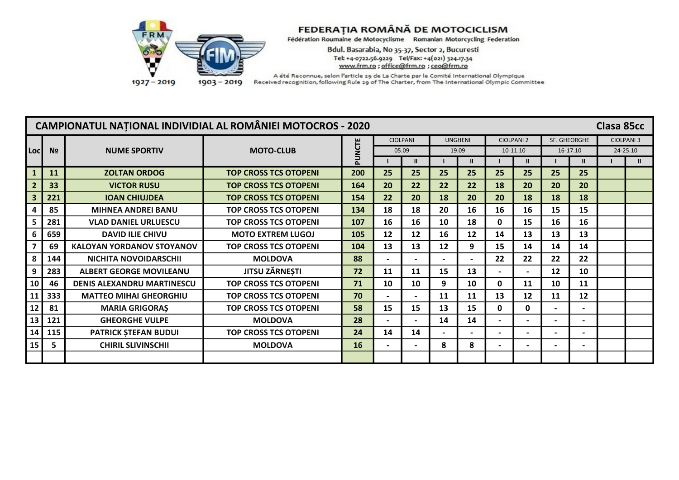

Bdul. Basarabia, No 35-37, Sector 2, Bucuresti Tel: +4-0722.56.9229 Tel/Fax: +4(021) 324.17.34 www.frm.ro ; office@frm.ro ; ceo@frm.ro

|                |                |                                   | <b>CAMPIONATUL NATIONAL INDIVIDIAL AL ROMÂNIEI MOTOCROS - 2020</b> |       |                          |                          |                |                 |                |                   |              |          | Clasa 85cc        |               |
|----------------|----------------|-----------------------------------|--------------------------------------------------------------------|-------|--------------------------|--------------------------|----------------|-----------------|----------------|-------------------|--------------|----------|-------------------|---------------|
|                |                |                                   |                                                                    |       |                          | <b>CIOLPANI</b>          | <b>UNGHENI</b> |                 |                | <b>CIOLPANI 2</b> | SF. GHEORGHE |          | <b>CIOLPANI 3</b> |               |
| <b>Loci</b>    | N <sub>2</sub> | <b>NUME SPORTIV</b>               | <b>MOTO-CLUB</b>                                                   | UNCTE | 05.09                    |                          | 19.09          |                 |                | 10-11.10          |              | 16-17.10 | 24-25.10          |               |
|                |                |                                   |                                                                    |       |                          | $\mathbf{u}$             |                | $\mathbf{II}$   |                | ш                 |              |          |                   | $\mathbf{II}$ |
| $\mathbf{1}$   | 11             | <b>ZOLTAN ORDOG</b>               | <b>TOP CROSS TCS OTOPENI</b>                                       | 200   | 25                       | 25                       | 25             | 25              | 25             | 25                | 25           | 25       |                   |               |
| $\overline{2}$ | 33             | <b>VICTOR RUSU</b>                | <b>TOP CROSS TCS OTOPENI</b>                                       | 164   | 20                       | 22                       | 22             | 22              | 18             | 20                | 20           | 20       |                   |               |
| 3              | 221            | <b>IOAN CHIUJDEA</b>              | <b>TOP CROSS TCS OTOPENI</b>                                       | 154   | 22                       | 20                       | 18             | 20 <sub>2</sub> | 20             | 18                | 18           | 18       |                   |               |
|                | 85             | <b>MIHNEA ANDREI BANU</b>         | <b>TOP CROSS TCS OTOPENI</b>                                       | 134   | 18                       | 18                       | 20             | 16              | 16             | 16                | 15           | 15       |                   |               |
| 5              | 281            | <b>VLAD DANIEL URLUESCU</b>       | <b>TOP CROSS TCS OTOPENI</b>                                       | 107   | 16                       | 16                       | 10             | 18              | 0              | 15                | 16           | 16       |                   |               |
| 6              | 659            | <b>DAVID ILIE CHIVU</b>           | <b>MOTO EXTREM LUGOJ</b>                                           | 105   | 12                       | $12 \overline{ }$        | 16             | 12              | 14             | 13                | 13           | 13       |                   |               |
|                | 69             | <b>KALOYAN YORDANOV STOYANOV</b>  | <b>TOP CROSS TCS OTOPENI</b>                                       | 104   | 13                       | 13                       | 12             | 9               | 15             | 14                | 14           | 14       |                   |               |
| 8              | 144            | NICHITA NOVOIDARSCHII             | <b>MOLDOVA</b>                                                     | 88    |                          |                          |                |                 | 22             | 22                | 22           | 22       |                   |               |
| 9              | 283            | <b>ALBERT GEORGE MOVILEANU</b>    | <b>JITSU ZĂRNEȘTI</b>                                              | 72    | 11                       | 11                       | 15             | 13              | $\blacksquare$ |                   | 12           | 10       |                   |               |
| 10             | 46             | <b>DENIS ALEXANDRU MARTINESCU</b> | <b>TOP CROSS TCS OTOPENI</b>                                       | 71    | 10                       | 10                       | 9              | 10              | 0              | 11                | 10           | 11       |                   |               |
| 11             | 333            | <b>MATTEO MIHAI GHEORGHIU</b>     | <b>TOP CROSS TCS OTOPENI</b>                                       | 70    | $\overline{\phantom{0}}$ | $\overline{\phantom{0}}$ | 11             | 11              | 13             | 12                | 11           | 12       |                   |               |
| 12             | 81             | <b>MARIA GRIGORAS</b>             | <b>TOP CROSS TCS OTOPENI</b>                                       | 58    | 15                       | 15                       | 13             | 15              | 0              | $\mathbf{0}$      |              |          |                   |               |
| 13             | 121            | <b>GHEORGHE VULPE</b>             | <b>MOLDOVA</b>                                                     | 28    | $\overline{\phantom{a}}$ | $\blacksquare$           | 14             | 14              | $\blacksquare$ |                   |              |          |                   |               |
| 14             | 115            | <b>PATRICK STEFAN BUDUI</b>       | <b>TOP CROSS TCS OTOPENI</b>                                       | 24    | 14                       | 14                       |                |                 |                |                   |              |          |                   |               |
| 15             | 5              | <b>CHIRIL SLIVINSCHII</b>         | <b>MOLDOVA</b>                                                     | 16    |                          |                          | 8              | 8               | $\blacksquare$ |                   |              |          |                   |               |
|                |                |                                   |                                                                    |       |                          |                          |                |                 |                |                   |              |          |                   |               |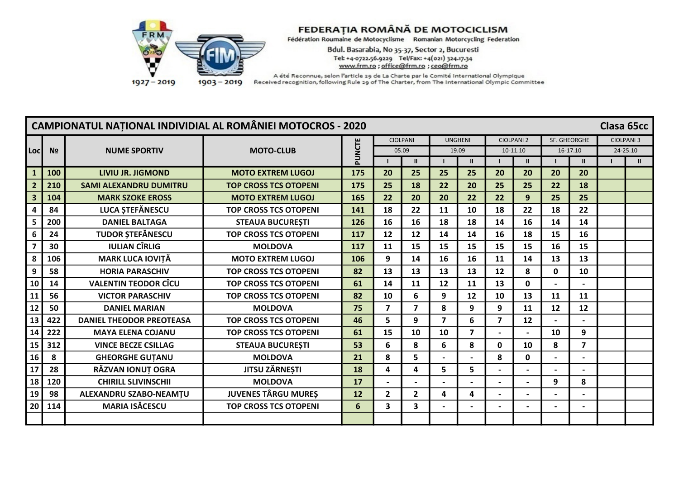

Bdul. Basarabia, No 35-37, Sector 2, Bucuresti Tel: +4-0722.56.9229 Tel/Fax: +4(021) 324.17.34 www.frm.ro ; office@frm.ro ; ceo@frm.ro

|                         |                |                                 | <b>CAMPIONATUL NAȚIONAL INDIVIDIAL AL ROMÂNIEI MOTOCROS - 2020</b> |        |                |                         |                         |                |                |                   |              |                          | Clasa 65cc        |              |
|-------------------------|----------------|---------------------------------|--------------------------------------------------------------------|--------|----------------|-------------------------|-------------------------|----------------|----------------|-------------------|--------------|--------------------------|-------------------|--------------|
|                         |                |                                 |                                                                    |        |                | <b>CIOLPANI</b>         | <b>UNGHENI</b>          |                |                | <b>CIOLPANI 2</b> | SF. GHEORGHE |                          | <b>CIOLPANI 3</b> |              |
| Locl                    | N <sub>2</sub> | <b>NUME SPORTIV</b>             | <b>MOTO-CLUB</b>                                                   | PUNCTE | 05.09          |                         | 19.09                   |                |                | 10-11.10          |              | 16-17.10                 | 24-25.10          |              |
|                         |                |                                 |                                                                    |        |                | Ш                       |                         | $\mathbf{II}$  |                | $\mathbf{H}$      |              | $\mathbf{II}$            |                   | $\mathbf{u}$ |
|                         | 100            | LIVIU JR. JIGMOND               | <b>MOTO EXTREM LUGOJ</b>                                           | 175    | 20             | 25                      | 25                      | 25             | 20             | 20                | 20           | 20                       |                   |              |
| $\overline{2}$          | 210            | <b>SAMI ALEXANDRU DUMITRU</b>   | <b>TOP CROSS TCS OTOPENI</b>                                       | 175    | 25             | 18                      | 22                      | 20             | 25             | 25                | 22           | 18                       |                   |              |
| $\overline{\mathbf{3}}$ | 104            | <b>MARK SZOKE EROSS</b>         | <b>MOTO EXTREM LUGOJ</b>                                           | 165    | 22             | 20                      | 20                      | 22             | 22             | 9                 | 25           | 25                       |                   |              |
| 4                       | 84             | LUCA STEFĂNESCU                 | <b>TOP CROSS TCS OTOPENI</b>                                       | 141    | 18             | 22                      | 11                      | 10             | 18             | 22                | 18           | 22                       |                   |              |
| 5                       | 200            | <b>DANIEL BALTAGA</b>           | <b>STEAUA BUCURESTI</b>                                            | 126    | 16             | 16                      | 18                      | 18             | 14             | 16                | 14           | 14                       |                   |              |
| 6                       | 24             | <b>TUDOR ȘTEFĂNESCU</b>         | <b>TOP CROSS TCS OTOPENI</b>                                       | 117    | 12             | 12                      | 14                      | 14             | 16             | 18                | 15           | 16                       |                   |              |
|                         | 30             | <b>IULIAN CÎRLIG</b>            | <b>MOLDOVA</b>                                                     | 117    | 11             | 15                      | 15                      | 15             | 15             | 15                | 16           | 15                       |                   |              |
| 8                       | 106            | <b>MARK LUCA IOVIȚĂ</b>         | <b>MOTO EXTREM LUGOJ</b>                                           | 106    | 9              | 14                      | 16                      | 16             | 11             | 14                | 13           | 13                       |                   |              |
| 9                       | 58             | <b>HORIA PARASCHIV</b>          | <b>TOP CROSS TCS OTOPENI</b>                                       | 82     | 13             | 13                      | 13                      | 13             | 12             | 8                 | 0            | 10                       |                   |              |
| 10                      | 14             | <b>VALENTIN TEODOR CÎCU</b>     | <b>TOP CROSS TCS OTOPENI</b>                                       | 61     | 14             | 11                      | 12                      | 11             | 13             | $\mathbf 0$       |              |                          |                   |              |
| 11                      | 56             | <b>VICTOR PARASCHIV</b>         | <b>TOP CROSS TCS OTOPENI</b>                                       | 82     | 10             | 6                       | 9                       | 12             | 10             | 13                | 11           | 11                       |                   |              |
| 12                      | 50             | <b>DANIEL MARIAN</b>            | <b>MOLDOVA</b>                                                     | 75     | $\overline{7}$ | $\overline{\mathbf{z}}$ | 8                       | 9              | 9              | 11                | 12           | 12                       |                   |              |
| 13                      | 422            | <b>DANIEL THEODOR PREOTEASA</b> | <b>TOP CROSS TCS OTOPENI</b>                                       | 46     | 5              | 9                       | $\overline{\mathbf{z}}$ | 6              | $\overline{7}$ | 12                |              |                          |                   |              |
| 14                      | 222            | <b>MAYA ELENA COJANU</b>        | <b>TOP CROSS TCS OTOPENI</b>                                       | 61     | 15             | 10                      | 10                      | $\overline{7}$ | $\blacksquare$ |                   | 10           | 9                        |                   |              |
| 15                      | 312            | <b>VINCE BECZE CSILLAG</b>      | <b>STEAUA BUCUREȘTI</b>                                            | 53     | 6              | 8                       | 6                       | 8              | $\mathbf 0$    | 10                | 8            | $\overline{7}$           |                   |              |
| 16                      | 8              | <b>GHEORGHE GUTANU</b>          | <b>MOLDOVA</b>                                                     | 21     | 8              | 5                       |                         | $\sim$         | 8              | $\mathbf 0$       |              | $\overline{\phantom{0}}$ |                   |              |
| 17                      | 28             | RĂZVAN IONUȚ OGRA               | JITSU ZĂRNEȘTI                                                     | 18     | 4              | 4                       | 5                       | 5              |                |                   |              |                          |                   |              |
| 18                      | 120            | <b>CHIRILL SLIVINSCHII</b>      | <b>MOLDOVA</b>                                                     | 17     |                |                         |                         |                |                |                   | 9            | 8                        |                   |              |
| 19                      | 98             | ALEXANDRU SZABO-NEAMȚU          | <b>JUVENES TÂRGU MUREȘ</b>                                         | 12     | $\mathbf{2}$   | $\overline{2}$          | 4                       | 4              | $\blacksquare$ |                   |              |                          |                   |              |
| 20                      | 114            | <b>MARIA ISĂCESCU</b>           | <b>TOP CROSS TCS OTOPENI</b>                                       | 6      | $\mathbf{3}$   | 3                       |                         |                | $\blacksquare$ |                   |              | $\blacksquare$           |                   |              |
|                         |                |                                 |                                                                    |        |                |                         |                         |                |                |                   |              |                          |                   |              |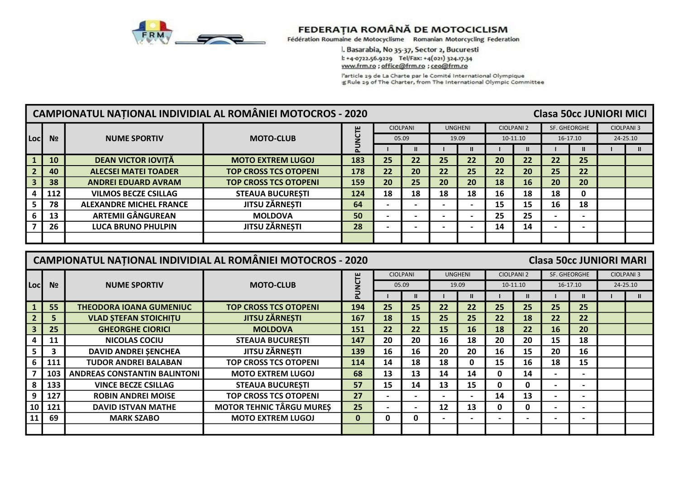

l. Basarabia, No 35-37, Sector 2, Bucuresti l: +4-0722.56.9229 Tel/Fax: +4(021) 324.17.34 www.frm.ro; office@frm.ro; ceo@frm.ro

l'article 29 de La Charte par le Comité International Olympique<br>g Rule 29 of The Charter, from The International Olympic Committee

|      |                |                                | CAMPIONATUL NATIONAL INDIVIDIAL AL ROMÂNIEI MOTOCROS - 2020 |          |    |                          |    |                |    |                   | <b>Clasa 50cc JUNIORI MICI</b> |                          |                   |
|------|----------------|--------------------------------|-------------------------------------------------------------|----------|----|--------------------------|----|----------------|----|-------------------|--------------------------------|--------------------------|-------------------|
|      |                |                                |                                                             | 쁘        |    | <b>CIOLPANI</b>          |    | <b>UNGHENI</b> |    | <b>CIOLPANI 2</b> | SF. GHEORGHE                   |                          | <b>CIOLPANI 3</b> |
| Locl | N <sub>2</sub> | <b>NUME SPORTIV</b>            | <b>MOTO-CLUB</b>                                            |          |    | 05.09                    |    | 19.09          |    | 10-11.10          |                                | 16-17.10                 | 24-25.10          |
|      |                |                                |                                                             | $\Delta$ |    |                          |    |                |    |                   |                                |                          |                   |
|      | <b>10</b>      | <b>DEAN VICTOR IOVITĂ</b>      | <b>MOTO EXTREM LUGOJ</b>                                    | 183      | 25 | 22                       | 25 | 22             | 20 | 22                | 22                             | 25                       |                   |
|      | 40             | <b>ALECSEI MATEI TOADER</b>    | <b>TOP CROSS TCS OTOPENI</b>                                | 178      | 22 | 20                       | 22 | 25             | 22 | 20                | 25                             | 22                       |                   |
|      | 38             | <b>ANDREI EDUARD AVRAM</b>     | <b>TOP CROSS TCS OTOPENI</b>                                | 159      | 20 | 25                       | 20 | 20             | 18 | 16                | 20                             | 20                       |                   |
|      | 112            | <b>VILMOS BECZE CSILLAG</b>    | <b>STEAUA BUCURESTI</b>                                     | 124      | 18 | 18                       | 18 | 18             | 16 | 18                | 18                             |                          |                   |
|      | 78             | <b>ALEXANDRE MICHEL FRANCE</b> | <b>JITSU ZĂRNEȘTI</b>                                       | 64       |    |                          |    |                | 15 | 15                | 16                             | 18                       |                   |
|      | 13             | <b>ARTEMII GÂNGUREAN</b>       | <b>MOLDOVA</b>                                              | 50       |    | $\overline{\phantom{0}}$ |    |                | 25 | 25                |                                | $\overline{\phantom{0}}$ |                   |
|      | 26             | <b>LUCA BRUNO PHULPIN</b>      | <b>JITSU ZÄRNESTI</b>                                       | 28       |    | $\overline{\phantom{0}}$ |    |                | 14 | 14                |                                | $\overline{\phantom{0}}$ |                   |
|      |                |                                |                                                             |          |    |                          |    |                |    |                   |                                |                          |                   |

|                 |                | <b>CAMPIONATUL NATIONAL INDIVIDIAL AL ROMÂNIEI MOTOCROS - 2020</b> |                                 |              |                          |                          |                   |                |                          |                   | <b>Clasa 50cc JUNIORI MARI</b> |                              |                   |
|-----------------|----------------|--------------------------------------------------------------------|---------------------------------|--------------|--------------------------|--------------------------|-------------------|----------------|--------------------------|-------------------|--------------------------------|------------------------------|-------------------|
|                 |                |                                                                    |                                 |              |                          | <b>CIOLPANI</b>          |                   | <b>UNGHENI</b> |                          | <b>CIOLPANI 2</b> |                                | SF. GHEORGHE                 | <b>CIOLPANI 3</b> |
| Locl            | N <sub>2</sub> | <b>NUME SPORTIV</b>                                                | <b>MOTO-CLUB</b>                | <b>UUN</b>   |                          | 05.09                    |                   | 19.09          |                          | 10-11.10          |                                | 16-17.10                     | 24-25.10          |
|                 |                |                                                                    |                                 | Ā            |                          |                          |                   |                |                          |                   |                                |                              | $\mathbf{u}$      |
|                 | 55             | <b>THEODORA IOANA GUMENIUC</b>                                     | <b>TOP CROSS TCS OTOPENI</b>    | 194          | 25                       | 25                       | 22                | 22             | 25                       | 25                | 25                             | 25                           |                   |
|                 | 5              | <b>VLAD STEFAN STOICHITU</b>                                       | <b>JITSU ZĂRNEȘTI</b>           | 167          | 18                       | 15                       | 25                | 25             | 22                       | 18                | 22                             | 22                           |                   |
|                 | 25             | <b>GHEORGHE CIORICI</b>                                            | <b>MOLDOVA</b>                  | 151          | 22                       | 22                       | <b>15</b>         | 16             | 18                       | 22                | 16                             | 20                           |                   |
|                 | 11             | <b>NICOLAS COCIU</b>                                               | <b>STEAUA BUCURESTI</b>         | 147          | 20                       | 20                       | 16                | 18             | 20                       | 20                | 15                             | 18                           |                   |
|                 | 3              | <b>DAVID ANDREI SENCHEA</b>                                        | <b>JITSU ZĂRNEȘTI</b>           | 139          | 16                       | 16                       | 20                | 20             | 16                       | 15                | 20                             | 16                           |                   |
|                 | 111            | <b>TUDOR ANDREI BALABAN</b>                                        | <b>TOP CROSS TCS OTOPENI</b>    | 114          | 14                       | 18                       | 18                | 0              | 15                       | 16                | 18                             | 15                           |                   |
|                 | 103            | <b>ANDREAS CONSTANTIN BALINTONI</b>                                | <b>MOTO EXTREM LUGOJ</b>        | 68           | 13                       | 13                       | 14                | 14             | 0                        | 14                | $\overline{\phantom{0}}$       | $\qquad \qquad \blacksquare$ |                   |
|                 | 133            | <b>VINCE BECZE CSILLAG</b>                                         | <b>STEAUA BUCURESTI</b>         | 57           | 15                       | 14                       | 13                | 15             | 0                        | 0                 | $\overline{\phantom{0}}$       | $\overline{\phantom{0}}$     |                   |
| 9               | 127            | <b>ROBIN ANDREI MOISE</b>                                          | <b>TOP CROSS TCS OTOPENI</b>    | 27           |                          | $\overline{\phantom{0}}$ |                   |                | 14                       | 13                |                                | $\overline{\phantom{0}}$     |                   |
| 10 <sub>1</sub> | 121            | <b>DAVID ISTVAN MATHE</b>                                          | <b>MOTOR TEHNIC TÂRGU MURES</b> | 25           | $\overline{\phantom{0}}$ | $\overline{\phantom{0}}$ | $12 \overline{ }$ | 13             | 0                        | 0                 | $\overline{\phantom{0}}$       | $\overline{\phantom{0}}$     |                   |
|                 | 69             | <b>MARK SZABO</b>                                                  | <b>MOTO EXTREM LUGOJ</b>        | $\mathbf{0}$ | 0                        | 0                        |                   | -              | $\overline{\phantom{0}}$ |                   | $\overline{\phantom{0}}$       | $\overline{\phantom{0}}$     |                   |
|                 |                |                                                                    |                                 |              |                          |                          |                   |                |                          |                   |                                |                              |                   |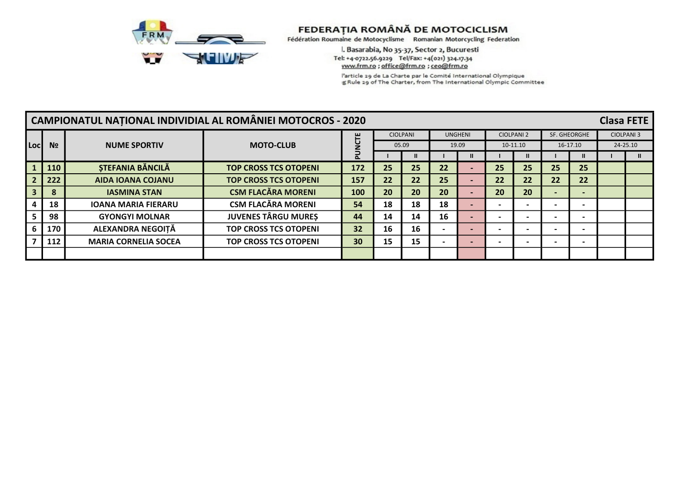

l. Basarabia, No 35-37, Sector 2, Bucuresti Tel: +4-0722.56.9229 Tel/Fax: +4(021) 324.17.34 www.frm.ro; office@frm.ro; ceo@frm.ro

l'article 29 de La Charte par le Comité International Olympique g Rule 29 of The Charter, from The International Olympic Committee

|      |                |                             | CAMPIONATUL NAȚIONAL INDIVIDIAL AL ROMÂNIEI MOTOCROS - 2020 |                         |                 |       |    |                |                          |                   |              |                          | <b>Clasa FETE</b> |                   |
|------|----------------|-----------------------------|-------------------------------------------------------------|-------------------------|-----------------|-------|----|----------------|--------------------------|-------------------|--------------|--------------------------|-------------------|-------------------|
|      |                |                             |                                                             | 쁘                       | <b>CIOLPANI</b> |       |    | <b>UNGHENI</b> |                          | <b>CIOLPANI 2</b> | SF. GHEORGHE |                          |                   | <b>CIOLPANI 3</b> |
| Locl | N <sub>2</sub> | <b>NUME SPORTIV</b>         | <b>MOTO-CLUB</b>                                            |                         |                 | 05.09 |    | 19.09          |                          | 10-11.10          |              | 16-17.10                 |                   | 24-25.10          |
|      |                |                             |                                                             | $\overline{\mathbf{a}}$ |                 |       |    |                |                          |                   |              |                          |                   |                   |
|      | 110            | <b>STEFANIA BĂNCILĂ</b>     | <b>TOP CROSS TCS OTOPENI</b>                                | 172                     | 25              | 25    | 22 |                | 25                       | 25                | 25           | 25                       |                   |                   |
|      | 222            | <b>AIDA IOANA COJANU</b>    | <b>TOP CROSS TCS OTOPENI</b>                                | 157                     | 22              | 22    | 25 |                | 22                       | 22                | 22           | 22                       |                   |                   |
|      | 8              | <b>IASMINA STAN</b>         | <b>CSM FLACĂRA MORENI</b>                                   | 100                     | 20              | 20    | 20 |                | 20                       | 20                |              | $\overline{\phantom{0}}$ |                   |                   |
|      | 18             | <b>IOANA MARIA FIERARU</b>  | <b>CSM FLACĂRA MORENI</b>                                   | 54                      | 18              | 18    | 18 |                |                          |                   |              |                          |                   |                   |
|      | 98             | <b>GYONGYI MOLNAR</b>       | <b>JUVENES TÂRGU MURES</b>                                  | 44                      | 14              | 14    | 16 |                |                          |                   |              |                          |                   |                   |
|      | 170            | ALEXANDRA NEGOITĂ           | <b>TOP CROSS TCS OTOPENI</b>                                | 32                      | 16              | 16    |    |                | $\overline{\phantom{0}}$ |                   |              | $\overline{\phantom{0}}$ |                   |                   |
|      | 112            | <b>MARIA CORNELIA SOCEA</b> | <b>TOP CROSS TCS OTOPENI</b>                                | 30                      | 15              | 15    |    |                |                          |                   |              |                          |                   |                   |
|      |                |                             |                                                             |                         |                 |       |    |                |                          |                   |              |                          |                   |                   |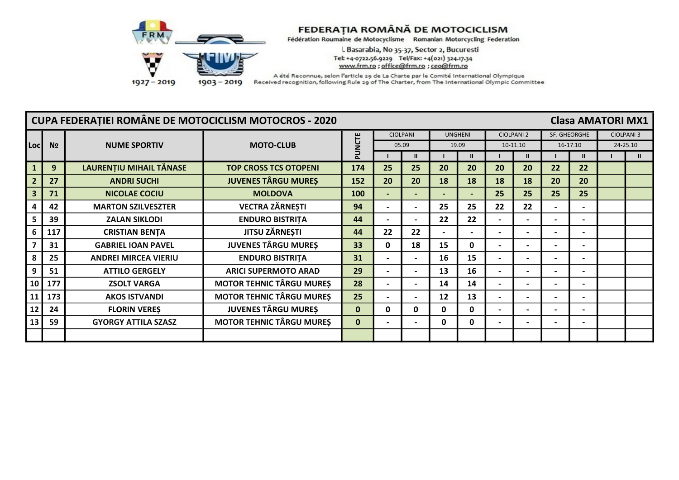

l. Basarabia, No 35-37, Sector 2, Bucuresti Tel: +4-0722.56.9229 Tel/Fax: +4(021) 324.17.34 www.frm.ro ; office@frm.ro ; ceo@frm.ro

 $1903 - 2019$  $1927 - 2019$ 

|                |                | <b>CUPA FEDERATIEI ROMÂNE DE MOTOCICLISM MOTOCROS - 2020</b> |                                 |              |                          |                          |              |                          |                          |                   |    | <b>Clasa AMATORI MX1</b> |                   |
|----------------|----------------|--------------------------------------------------------------|---------------------------------|--------------|--------------------------|--------------------------|--------------|--------------------------|--------------------------|-------------------|----|--------------------------|-------------------|
|                |                |                                                              |                                 |              |                          | CIOLPANI                 |              | <b>UNGHENI</b>           |                          | <b>CIOLPANI 2</b> |    | SF. GHEORGHE             | <b>CIOLPANI 3</b> |
| Locl           | N <sub>2</sub> | <b>NUME SPORTIV</b>                                          | <b>MOTO-CLUB</b>                | PUNCTE       |                          | 05.09                    |              | 19.09                    |                          | 10-11.10          |    | 16-17.10                 | 24-25.10          |
|                |                |                                                              |                                 |              |                          |                          |              | $\mathbf{u}$             |                          |                   |    | $\mathbf{II}$            | $\mathbf{u}$      |
|                | 9              | LAURENȚIU MIHAIL TĂNASE                                      | <b>TOP CROSS TCS OTOPENI</b>    | 174          | 25                       | 25                       | 20           | 20                       | 20                       | 20                | 22 | 22                       |                   |
| $\overline{2}$ | 27             | <b>ANDRI SUCHI</b>                                           | <b>JUVENES TÂRGU MURES</b>      | 152          | 20                       | 20                       | 18           | 18                       | 18                       | 18                | 20 | 20                       |                   |
| 3              | 71             | <b>NICOLAE COCIU</b>                                         | <b>MOLDOVA</b>                  | 100          | $\overline{\phantom{0}}$ |                          |              | $\overline{\phantom{0}}$ | 25                       | 25                | 25 | 25                       |                   |
|                | 42             | <b>MARTON SZILVESZTER</b>                                    | <b>VECTRA ZĂRNEȘTI</b>          | 94           | $\overline{\phantom{0}}$ | $\overline{\phantom{a}}$ | 25           | 25                       | 22                       | 22                |    | $\overline{\phantom{0}}$ |                   |
|                | 39             | <b>ZALAN SIKLODI</b>                                         | <b>ENDURO BISTRITA</b>          | 44           |                          | $\overline{\phantom{a}}$ | 22           | 22                       | $\overline{\phantom{a}}$ |                   |    | $\overline{\phantom{0}}$ |                   |
| 6              | 117            | <b>CRISTIAN BENTA</b>                                        | <b>JITSU ZĂRNEȘTI</b>           | 44           | 22                       | 22                       |              |                          | $\overline{\phantom{0}}$ |                   |    |                          |                   |
|                | 31             | <b>GABRIEL IOAN PAVEL</b>                                    | <b>JUVENES TÂRGU MURES</b>      | 33           | 0                        | 18                       | 15           | 0                        |                          |                   |    |                          |                   |
| 8              | 25             | <b>ANDREI MIRCEA VIERIU</b>                                  | <b>ENDURO BISTRITA</b>          | 31           | $\blacksquare$           | $\overline{\phantom{a}}$ | 16           | 15                       | $\overline{\phantom{a}}$ |                   |    | $\overline{\phantom{0}}$ |                   |
| 9              | 51             | <b>ATTILO GERGELY</b>                                        | <b>ARICI SUPERMOTO ARAD</b>     | 29           | $\overline{\phantom{0}}$ | $\overline{\phantom{a}}$ | 13           | 16                       | $\overline{\phantom{a}}$ |                   |    | $\overline{\phantom{0}}$ |                   |
| 10             | 177            | <b>ZSOLT VARGA</b>                                           | <b>MOTOR TEHNIC TÂRGU MURES</b> | 28           | $\overline{\phantom{0}}$ | $\overline{\phantom{a}}$ | 14           | 14                       | $\overline{\phantom{a}}$ |                   |    | $\overline{\phantom{0}}$ |                   |
| 11             | 173            | <b>AKOS ISTVANDI</b>                                         | <b>MOTOR TEHNIC TÂRGU MURES</b> | 25           | $\overline{\phantom{0}}$ | $\overline{\phantom{a}}$ | 12           | 13                       | $\overline{\phantom{a}}$ |                   |    | $\overline{\phantom{0}}$ |                   |
| 12             | 24             | <b>FLORIN VERES</b>                                          | <b>JUVENES TÂRGU MURES</b>      | $\bf{0}$     | 0                        | 0                        | <sup>0</sup> | 0                        | $\blacksquare$           |                   |    | $\overline{\phantom{0}}$ |                   |
| 13             | 59             | <b>GYORGY ATTILA SZASZ</b>                                   | <b>MOTOR TEHNIC TÂRGU MURES</b> | $\mathbf{0}$ |                          | $\overline{\phantom{a}}$ | 0            | 0                        | $\overline{\phantom{a}}$ |                   |    | $\overline{\phantom{0}}$ |                   |
|                |                |                                                              |                                 |              |                          |                          |              |                          |                          |                   |    |                          |                   |